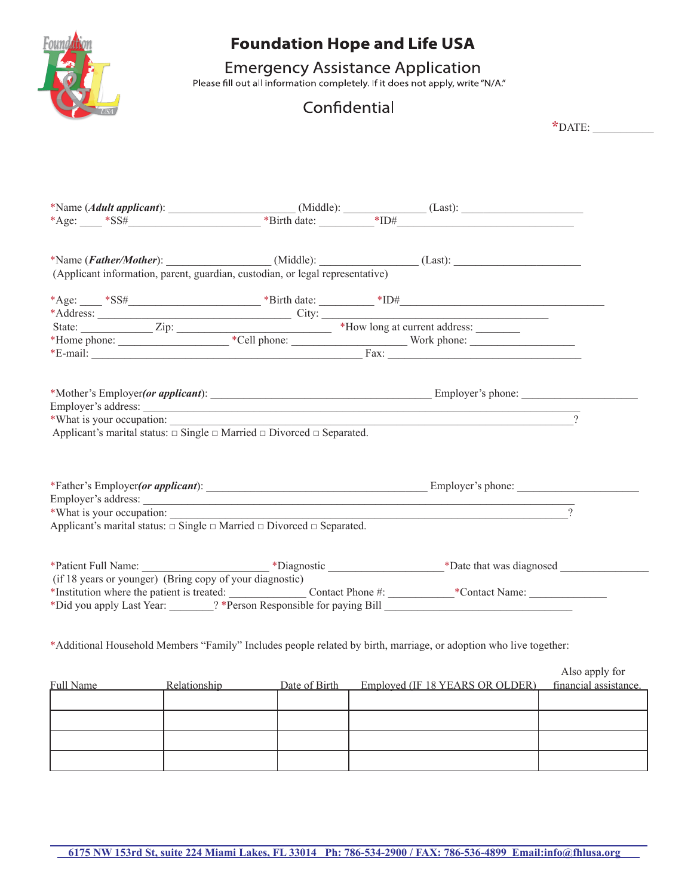

## **Foundation Hope and Life USA**

# Emergency Assistance Application<br>Please fill out all information completely. If it does not apply, write "N/A."

### Confidential

**\***DATE: \_\_\_\_\_\_\_\_\_\_\_

|                                                                                                                   | (Applicant information, parent, guardian, custodian, or legal representative)              |                                                                         |                |
|-------------------------------------------------------------------------------------------------------------------|--------------------------------------------------------------------------------------------|-------------------------------------------------------------------------|----------------|
|                                                                                                                   |                                                                                            |                                                                         |                |
|                                                                                                                   |                                                                                            |                                                                         |                |
|                                                                                                                   |                                                                                            |                                                                         |                |
|                                                                                                                   |                                                                                            |                                                                         |                |
| *Address:<br>State: <u>E-mail:</u> Zip: <u>Zip: *Cell phone: *Cell phone: *E-mail: *E-mail:</u>                   |                                                                                            |                                                                         |                |
|                                                                                                                   |                                                                                            |                                                                         |                |
|                                                                                                                   |                                                                                            |                                                                         |                |
| *What is your occupation:                                                                                         | Applicant's marital status: $\Box$ Single $\Box$ Married $\Box$ Divorced $\Box$ Separated. | <u> 1989 - Johann Barn, fransk politik amerikansk politik (d. 1989)</u> |                |
|                                                                                                                   |                                                                                            |                                                                         |                |
| *What is your occupation:                                                                                         |                                                                                            |                                                                         |                |
| Applicant's marital status: $\Box$ Single $\Box$ Married $\Box$ Divorced $\Box$ Separated.                        |                                                                                            |                                                                         |                |
|                                                                                                                   |                                                                                            |                                                                         |                |
|                                                                                                                   |                                                                                            |                                                                         |                |
| (if 18 years or younger) (Bring copy of your diagnostic)                                                          |                                                                                            |                                                                         |                |
|                                                                                                                   |                                                                                            |                                                                         |                |
|                                                                                                                   |                                                                                            |                                                                         |                |
|                                                                                                                   |                                                                                            |                                                                         |                |
| *Additional Household Members "Family" Includes people related by birth, marriage, or adoption who live together: |                                                                                            |                                                                         |                |
| Full Name Relationship Date of Birth Employed (IF 18 YEARS OR OLDER) financial assistance.                        |                                                                                            |                                                                         | Also apply for |
|                                                                                                                   |                                                                                            |                                                                         |                |
|                                                                                                                   |                                                                                            |                                                                         |                |
|                                                                                                                   |                                                                                            |                                                                         |                |
|                                                                                                                   |                                                                                            |                                                                         |                |
|                                                                                                                   |                                                                                            |                                                                         |                |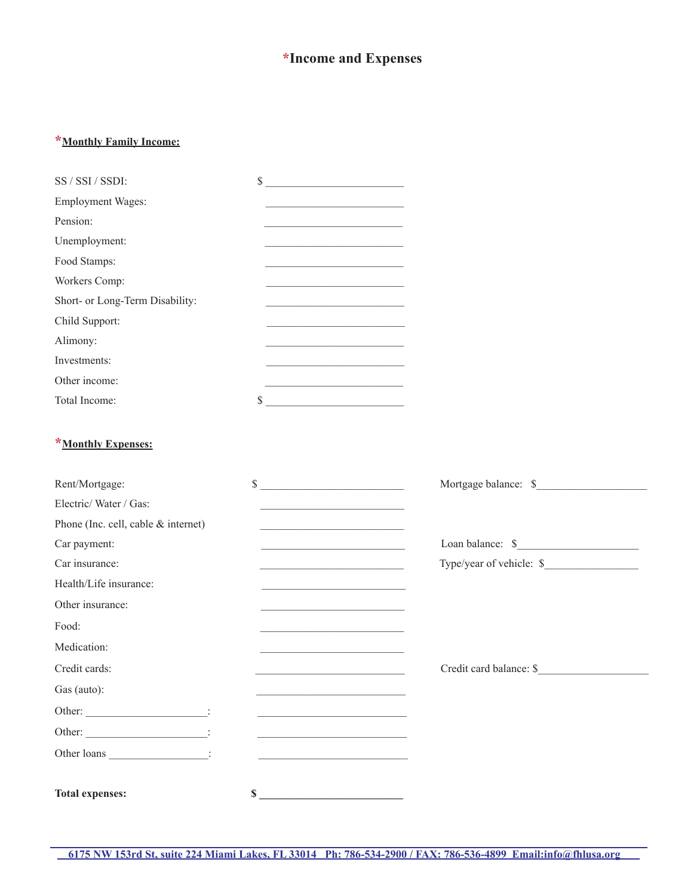### **\*Income and Expenses**

#### **\*Monthly Family Income:**

| SS / SSI / SSDI:                           | \$<br><u> 1989 - Johann John Stone, mars et al. (</u>                                                                |                                                                                                           |
|--------------------------------------------|----------------------------------------------------------------------------------------------------------------------|-----------------------------------------------------------------------------------------------------------|
| <b>Employment Wages:</b>                   |                                                                                                                      |                                                                                                           |
| Pension:                                   | <u> 1989 - Johann John Stein, mars an deus Amerikaansk ferskeid (</u>                                                |                                                                                                           |
| Unemployment:                              |                                                                                                                      |                                                                                                           |
| Food Stamps:                               | <u> 1989 - Johann John Stein, mars an deus Frankrik (d. 1989)</u>                                                    |                                                                                                           |
| Workers Comp:                              |                                                                                                                      |                                                                                                           |
| Short- or Long-Term Disability:            | <u> 1989 - Johann John Stone, mars et al. (</u>                                                                      |                                                                                                           |
| Child Support:                             | <u> 2002 - Johann John Stein, mars an deutscher Stein († 20</u>                                                      |                                                                                                           |
| Alimony:                                   | <u> 1950 - Johann John Stone, martin de Brasilia (h. 1950).</u>                                                      |                                                                                                           |
| Investments:                               |                                                                                                                      |                                                                                                           |
| Other income:                              |                                                                                                                      |                                                                                                           |
| Total Income:                              | $\frac{1}{2}$                                                                                                        |                                                                                                           |
| *Monthly Expenses:                         |                                                                                                                      |                                                                                                           |
| Rent/Mortgage:                             | $\frac{1}{2}$                                                                                                        |                                                                                                           |
| Electric/Water/Gas:                        |                                                                                                                      |                                                                                                           |
| Phone (Inc. cell, cable & internet)        | <u> 1989 - Johann John Barn, mars ar breist ar breist ar breist ar breist ar breist ar breist ar breist ar breis</u> |                                                                                                           |
| Car payment:                               | <u> 1989 - Johann Barn, fransk politik (</u>                                                                         | $\begin{tabular}{l} Loan balance: \end{tabular} \begin{tabular}{p{3cm}} \textbf{\textit{S}}\end{tabular}$ |
| Car insurance:                             |                                                                                                                      | Type/year of vehicle: \$                                                                                  |
| Health/Life insurance:                     | <u> 2008 - Johann John Stein, mars an deus Amerikaansk kommunister (</u>                                             |                                                                                                           |
| Other insurance:                           | <u> 1990 - Johann Barbara, martin a</u>                                                                              |                                                                                                           |
| Food:                                      |                                                                                                                      |                                                                                                           |
| Medication:                                |                                                                                                                      |                                                                                                           |
| Credit cards:                              |                                                                                                                      | Credit card balance: \$                                                                                   |
| Gas (auto):                                |                                                                                                                      |                                                                                                           |
| Other: __________________________________: |                                                                                                                      |                                                                                                           |
|                                            |                                                                                                                      |                                                                                                           |
| Other loans :                              |                                                                                                                      |                                                                                                           |
| <b>Total expenses:</b>                     | $\sim$                                                                                                               |                                                                                                           |